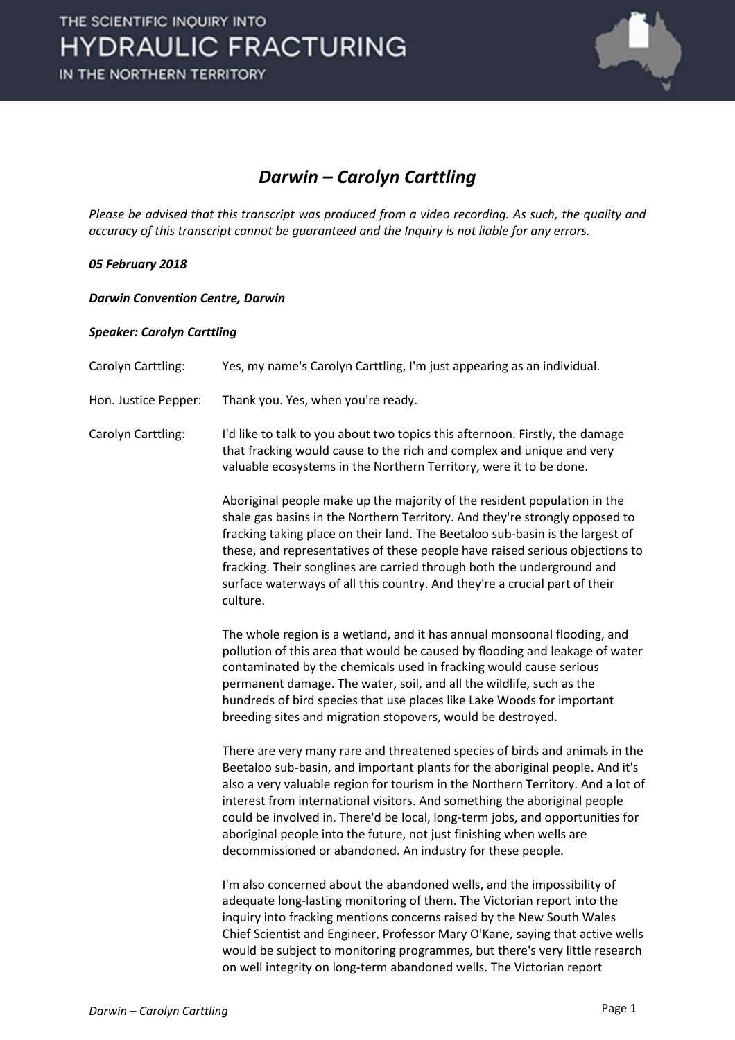

## *Darwin – Carolyn Carttling*

*Please be advised that this transcript was produced from a video recording. As such, the quality and accuracy of this transcript cannot be guaranteed and the Inquiry is not liable for any errors.*

### *05 February 2018*

### *Darwin Convention Centre, Darwin*

#### *Speaker: Carolyn Carttling*

| Carolyn Carttling:   | Yes, my name's Carolyn Carttling, I'm just appearing as an individual.                                                                                                                                                                                                                                                                                                                                                                                                                                                                             |
|----------------------|----------------------------------------------------------------------------------------------------------------------------------------------------------------------------------------------------------------------------------------------------------------------------------------------------------------------------------------------------------------------------------------------------------------------------------------------------------------------------------------------------------------------------------------------------|
| Hon. Justice Pepper: | Thank you. Yes, when you're ready.                                                                                                                                                                                                                                                                                                                                                                                                                                                                                                                 |
| Carolyn Carttling:   | I'd like to talk to you about two topics this afternoon. Firstly, the damage<br>that fracking would cause to the rich and complex and unique and very<br>valuable ecosystems in the Northern Territory, were it to be done.                                                                                                                                                                                                                                                                                                                        |
|                      | Aboriginal people make up the majority of the resident population in the<br>shale gas basins in the Northern Territory. And they're strongly opposed to<br>fracking taking place on their land. The Beetaloo sub-basin is the largest of<br>these, and representatives of these people have raised serious objections to<br>fracking. Their songlines are carried through both the underground and<br>surface waterways of all this country. And they're a crucial part of their<br>culture.                                                       |
|                      | The whole region is a wetland, and it has annual monsoonal flooding, and<br>pollution of this area that would be caused by flooding and leakage of water<br>contaminated by the chemicals used in fracking would cause serious<br>permanent damage. The water, soil, and all the wildlife, such as the<br>hundreds of bird species that use places like Lake Woods for important<br>breeding sites and migration stopovers, would be destroyed.                                                                                                    |
|                      | There are very many rare and threatened species of birds and animals in the<br>Beetaloo sub-basin, and important plants for the aboriginal people. And it's<br>also a very valuable region for tourism in the Northern Territory. And a lot of<br>interest from international visitors. And something the aboriginal people<br>could be involved in. There'd be local, long-term jobs, and opportunities for<br>aboriginal people into the future, not just finishing when wells are<br>decommissioned or abandoned. An industry for these people. |
|                      | I'm also concerned about the abandoned wells, and the impossibility of<br>adequate long-lasting monitoring of them. The Victorian report into the<br>inquiry into fracking mentions concerns raised by the New South Wales<br>Chief Scientist and Engineer, Professor Mary O'Kane, saying that active wells<br>would be subject to monitoring programmes, but there's very little research<br>on well integrity on long-term abandoned wells. The Victorian report                                                                                 |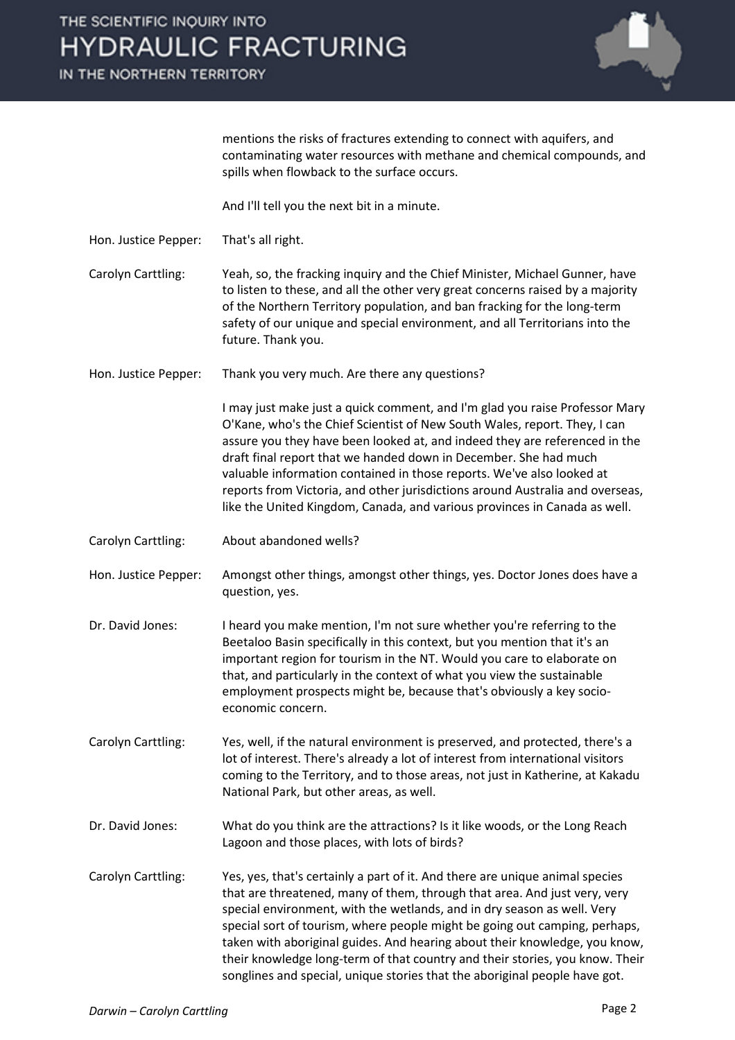IN THE NORTHERN TERRITORY



mentions the risks of fractures extending to connect with aquifers, and contaminating water resources with methane and chemical compounds, and spills when flowback to the surface occurs.

And I'll tell you the next bit in a minute.

Hon. Justice Pepper: That's all right.

Carolyn Carttling: Yeah, so, the fracking inquiry and the Chief Minister, Michael Gunner, have to listen to these, and all the other very great concerns raised by a majority of the Northern Territory population, and ban fracking for the long-term safety of our unique and special environment, and all Territorians into the future. Thank you.

Hon. Justice Pepper: Thank you very much. Are there any questions?

I may just make just a quick comment, and I'm glad you raise Professor Mary O'Kane, who's the Chief Scientist of New South Wales, report. They, I can assure you they have been looked at, and indeed they are referenced in the draft final report that we handed down in December. She had much valuable information contained in those reports. We've also looked at reports from Victoria, and other jurisdictions around Australia and overseas, like the United Kingdom, Canada, and various provinces in Canada as well.

Carolyn Carttling: About abandoned wells?

Hon. Justice Pepper: Amongst other things, amongst other things, yes. Doctor Jones does have a question, yes.

- Dr. David Jones: I heard you make mention, I'm not sure whether you're referring to the Beetaloo Basin specifically in this context, but you mention that it's an important region for tourism in the NT. Would you care to elaborate on that, and particularly in the context of what you view the sustainable employment prospects might be, because that's obviously a key socioeconomic concern.
- Carolyn Carttling: Yes, well, if the natural environment is preserved, and protected, there's a lot of interest. There's already a lot of interest from international visitors coming to the Territory, and to those areas, not just in Katherine, at Kakadu National Park, but other areas, as well.
- Dr. David Jones: What do you think are the attractions? Is it like woods, or the Long Reach Lagoon and those places, with lots of birds?
- Carolyn Carttling: Yes, yes, that's certainly a part of it. And there are unique animal species that are threatened, many of them, through that area. And just very, very special environment, with the wetlands, and in dry season as well. Very special sort of tourism, where people might be going out camping, perhaps, taken with aboriginal guides. And hearing about their knowledge, you know, their knowledge long-term of that country and their stories, you know. Their songlines and special, unique stories that the aboriginal people have got.